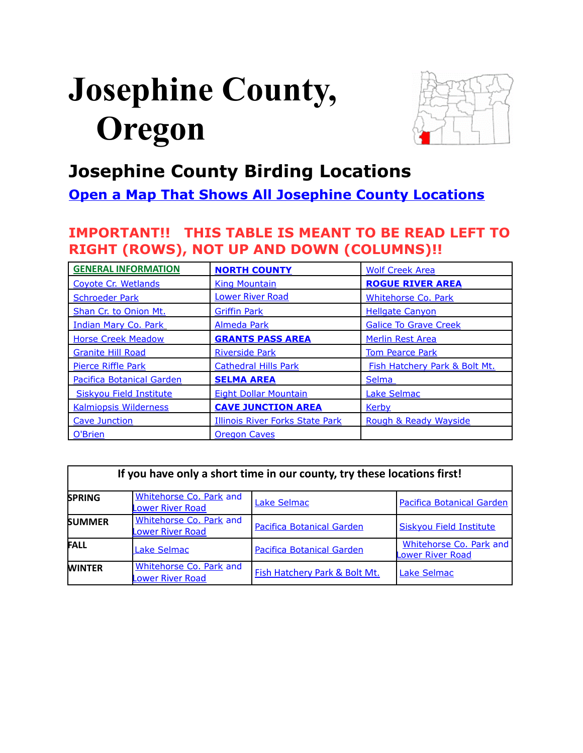# <span id="page-0-0"></span>**Josephine County, Oregon**



# **Josephine County Birding Locations**

# **[Open a Map That Shows All Josephine County Locations](https://www.google.com/maps/d/edit?mid=zVl1oTDALjf4.k7tvRRYLaxtU&usp=sharing)**

# **IMPORTANT!! THIS TABLE IS MEANT TO BE READ LEFT TO RIGHT (ROWS), NOT UP AND DOWN (COLUMNS)!!**

| <b>GENERAL INFORMATION</b>       | <b>NORTH COUNTY</b>                    | <b>Wolf Creek Area</b>        |  |
|----------------------------------|----------------------------------------|-------------------------------|--|
| Coyote Cr. Wetlands              | <b>King Mountain</b>                   | <b>ROGUE RIVER AREA</b>       |  |
| <b>Schroeder Park</b>            | <b>Lower River Road</b>                | <b>Whitehorse Co. Park</b>    |  |
| Shan Cr. to Onion Mt.            | <b>Griffin Park</b>                    | <b>Hellgate Canyon</b>        |  |
| Indian Mary Co. Park             | <b>Almeda Park</b>                     | <b>Galice To Grave Creek</b>  |  |
| <b>Horse Creek Meadow</b>        | <b>GRANTS PASS AREA</b>                | Merlin Rest Area              |  |
| <b>Granite Hill Road</b>         | <b>Riverside Park</b>                  | <b>Tom Pearce Park</b>        |  |
| <b>Pierce Riffle Park</b>        | <b>Cathedral Hills Park</b>            | Fish Hatchery Park & Bolt Mt. |  |
| <b>Pacifica Botanical Garden</b> | <b>SELMA AREA</b>                      | <b>Selma</b>                  |  |
| <b>Siskyou Field Institute</b>   | <b>Eight Dollar Mountain</b>           | <b>Lake Selmac</b>            |  |
| <b>Kalmiopsis Wilderness</b>     | <b>CAVE JUNCTION AREA</b>              | <b>Kerby</b>                  |  |
| Cave Junction                    | <b>Illinois River Forks State Park</b> | Rough & Ready Wayside         |  |
| O'Brien                          | <b>Oregon Caves</b>                    |                               |  |

| If you have only a short time in our county, try these locations first! |                                                    |                                  |                                                    |  |
|-------------------------------------------------------------------------|----------------------------------------------------|----------------------------------|----------------------------------------------------|--|
| <b>SPRING</b>                                                           | Whitehorse Co. Park and<br><b>Lower River Road</b> | <b>Lake Selmac</b>               | <b>Pacifica Botanical Garden</b>                   |  |
| <b>SUMMER</b>                                                           | Whitehorse Co. Park and<br><b>Lower River Road</b> | <b>Pacifica Botanical Garden</b> | <b>Siskyou Field Institute</b>                     |  |
| <b>FALL</b>                                                             | <b>Lake Selmac</b>                                 | <b>Pacifica Botanical Garden</b> | Whitehorse Co. Park and<br><b>Lower River Road</b> |  |
| <b>WINTER</b>                                                           | Whitehorse Co. Park and<br><b>Lower River Road</b> | Fish Hatchery Park & Bolt Mt.    | <b>Lake Selmac</b>                                 |  |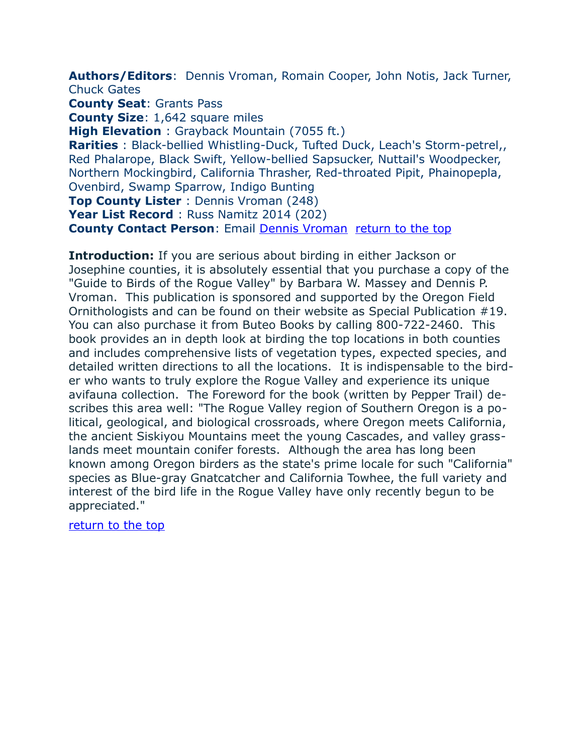<span id="page-1-0"></span>**Authors/Editors**: Dennis Vroman, Romain Cooper, John Notis, Jack Turner, Chuck Gates

**County Seat**: Grants Pass

**County Size**: 1,642 square miles

**High Elevation** : Grayback Mountain (7055 ft.)

**Rarities** : Black-bellied Whistling-Duck, Tufted Duck, Leach's Storm-petrel,, Red Phalarope, Black Swift, Yellow-bellied Sapsucker, Nuttail's Woodpecker, Northern Mockingbird, California Thrasher, Red-throated Pipit, Phainopepla, Ovenbird, Swamp Sparrow, Indigo Bunting

**Top County Lister** : Dennis Vroman (248)

Year List Record : Russ Namitz 2014 (202)

**County Contact Person**: Email [Dennis Vroman](mailto:dpvroman@budget.net) [return to the top](#page-0-0)

**Introduction:** If you are serious about birding in either Jackson or Josephine counties, it is absolutely essential that you purchase a copy of the "Guide to Birds of the Rogue Valley" by Barbara W. Massey and Dennis P. Vroman. This publication is sponsored and supported by the Oregon Field Ornithologists and can be found on their website as Special Publication #19. You can also purchase it from Buteo Books by calling 800-722-2460. This book provides an in depth look at birding the top locations in both counties and includes comprehensive lists of vegetation types, expected species, and detailed written directions to all the locations. It is indispensable to the birder who wants to truly explore the Rogue Valley and experience its unique avifauna collection. The Foreword for the book (written by Pepper Trail) describes this area well: "The Rogue Valley region of Southern Oregon is a political, geological, and biological crossroads, where Oregon meets California, the ancient Siskiyou Mountains meet the young Cascades, and valley grasslands meet mountain conifer forests. Although the area has long been known among Oregon birders as the state's prime locale for such "California" species as Blue-gray Gnatcatcher and California Towhee, the full variety and interest of the bird life in the Rogue Valley have only recently begun to be appreciated."

[return to the top](#page-0-0)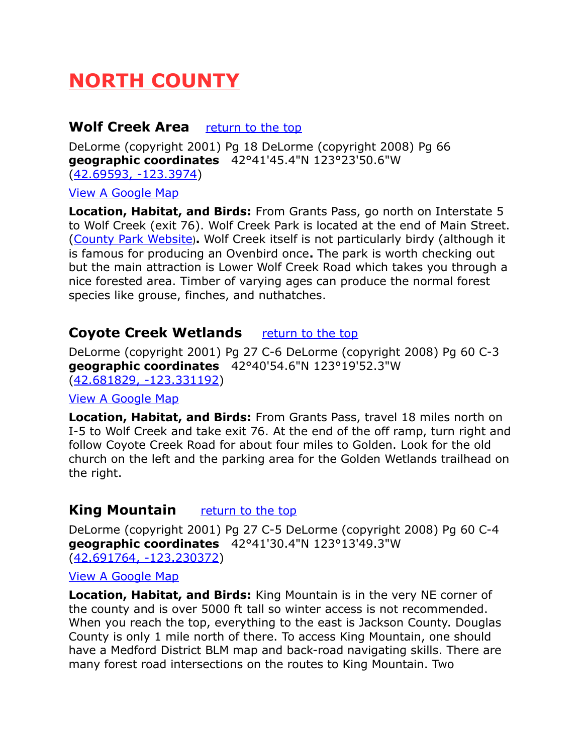# <span id="page-2-3"></span>**NORTH COUNTY**

# <span id="page-2-2"></span>**Wolf Creek Area** [return to the top](#page-0-0)

DeLorme (copyright 2001) Pg 18 DeLorme (copyright 2008) Pg 66 **geographic coordinates** 42°41'45.4"N 123°23'50.6"W [\(42.69593, -123.3974\)](https://www.google.com/maps/place/42%C2%B041)

[View A Google Map](http://maps.google.com/maps/ms?hl=en&ie=UTF8&msa=0&msid=108036481085398338899.0004736b7d4961bf0cec4&ll=42.555104,-123.434143&spn=0.664618,1.399384&z=10)

**Location, Habitat, and Birds:** From Grants Pass, go north on Interstate 5 to Wolf Creek (exit 76). Wolf Creek Park is located at the end of Main Street. [\(County Park Website](http://www.co.josephine.or.us/Page.asp?NavID=1882))**.** Wolf Creek itself is not particularly birdy (although it is famous for producing an Ovenbird once**.** The park is worth checking out but the main attraction is Lower Wolf Creek Road which takes you through a nice forested area. Timber of varying ages can produce the normal forest species like grouse, finches, and nuthatches.

# <span id="page-2-1"></span>**Coyote Creek Wetlands** *[return to the top](#page-0-0)*

DeLorme (copyright 2001) Pg 27 C-6 DeLorme (copyright 2008) Pg 60 C-3 **geographic coordinates** 42°40'54.6"N 123°19'52.3"W [\(42.681829, -123.331192\)](https://www.google.com/maps/place/42%C2%B040)

#### [View A Google Map](http://maps.google.com/maps/ms?hl=en&ie=UTF8&msa=0&msid=108036481085398338899.0004736b7d4961bf0cec4&ll=42.555104,-123.434143&spn=0.664618,1.399384&z=10)

**Location, Habitat, and Birds:** From Grants Pass, travel 18 miles north on I-5 to Wolf Creek and take exit 76. At the end of the off ramp, turn right and follow Coyote Creek Road for about four miles to Golden. Look for the old church on the left and the parking area for the Golden Wetlands trailhead on the right.

# <span id="page-2-0"></span>**King Mountain** [return to the top](#page-0-0)

DeLorme (copyright 2001) Pg 27 C-5 DeLorme (copyright 2008) Pg 60 C-4 **geographic coordinates** 42°41'30.4"N 123°13'49.3"W [\(42.691764, -123.230372\)](https://www.google.com/maps/place/42%C2%B041)

#### [View A Google Map](http://maps.google.com/maps/ms?hl=en&ie=UTF8&msa=0&msid=108036481085398338899.0004736b7d4961bf0cec4&ll=42.555104,-123.434143&spn=0.664618,1.399384&z=10)

**Location, Habitat, and Birds:** King Mountain is in the very NE corner of the county and is over 5000 ft tall so winter access is not recommended. When you reach the top, everything to the east is Jackson County. Douglas County is only 1 mile north of there. To access King Mountain, one should have a Medford District BLM map and back-road navigating skills. There are many forest road intersections on the routes to King Mountain. Two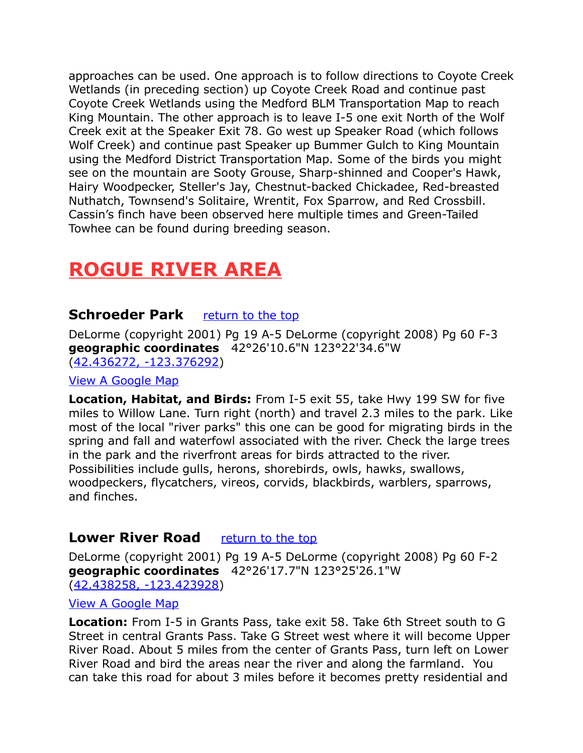approaches can be used. One approach is to follow directions to Coyote Creek Wetlands (in preceding section) up Coyote Creek Road and continue past Coyote Creek Wetlands using the Medford BLM Transportation Map to reach King Mountain. The other approach is to leave I-5 one exit North of the Wolf Creek exit at the Speaker Exit 78. Go west up Speaker Road (which follows Wolf Creek) and continue past Speaker up Bummer Gulch to King Mountain using the Medford District Transportation Map. Some of the birds you might see on the mountain are Sooty Grouse, Sharp-shinned and Cooper's Hawk, Hairy Woodpecker, Steller's Jay, Chestnut-backed Chickadee, Red-breasted Nuthatch, Townsend's Solitaire, Wrentit, Fox Sparrow, and Red Crossbill. Cassin's finch have been observed here multiple times and Green-Tailed Towhee can be found during breeding season.

# <span id="page-3-2"></span>**ROGUE RIVER AREA**

# <span id="page-3-1"></span>**Schroeder Park** [return to the top](#page-0-0)

DeLorme (copyright 2001) Pg 19 A-5 DeLorme (copyright 2008) Pg 60 F-3 **geographic coordinates** 42°26'10.6"N 123°22'34.6"W [\(42.436272, -123.376292\)](https://www.google.com/maps/place/42%C2%B026)

#### [View A Google Map](http://maps.google.com/maps/ms?ie=UTF8&hl=en&msa=0&msid=108036481085398338899.0004736bc755f40186f28&ll=42.38188,-123.376465&spn=0.666459,1.399384&z=10)

**Location, Habitat, and Birds:** From I-5 exit 55, take Hwy 199 SW for five miles to Willow Lane. Turn right (north) and travel 2.3 miles to the park. Like most of the local "river parks" this one can be good for migrating birds in the spring and fall and waterfowl associated with the river. Check the large trees in the park and the riverfront areas for birds attracted to the river. Possibilities include gulls, herons, shorebirds, owls, hawks, swallows, woodpeckers, flycatchers, vireos, corvids, blackbirds, warblers, sparrows, and finches.

#### <span id="page-3-0"></span>**Lower River Road** [return to the top](#page-0-0)

DeLorme (copyright 2001) Pg 19 A-5 DeLorme (copyright 2008) Pg 60 F-2 **geographic coordinates** 42°26'17.7"N 123°25'26.1"W [\(42.438258, -123.423928\)](https://www.google.com/maps/place/42%C2%B026)

#### [View A Google Map](http://maps.google.com/maps/ms?ie=UTF8&hl=en&msa=0&msid=108036481085398338899.0004736bc755f40186f28&ll=42.38188,-123.376465&spn=0.666459,1.399384&z=10)

**Location:** From I-5 in Grants Pass, take exit 58. Take 6th Street south to G Street in central Grants Pass. Take G Street west where it will become Upper River Road. About 5 miles from the center of Grants Pass, turn left on Lower River Road and bird the areas near the river and along the farmland. You can take this road for about 3 miles before it becomes pretty residential and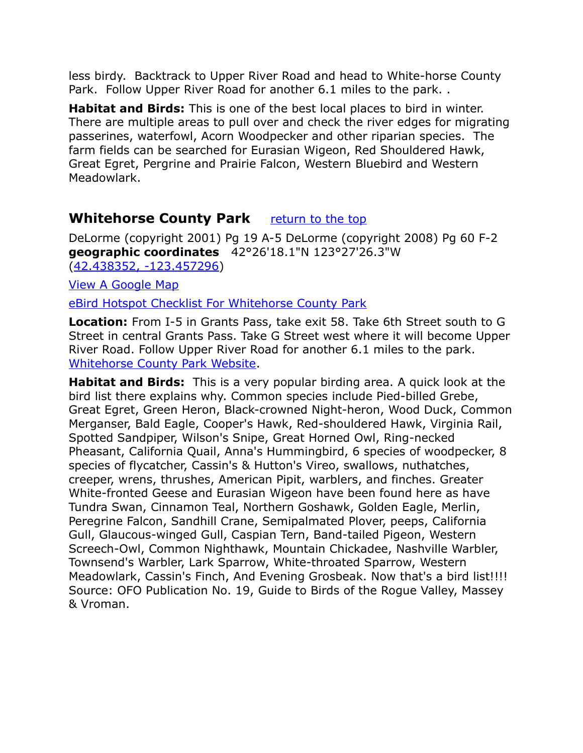less birdy. Backtrack to Upper River Road and head to White-horse County Park. Follow Upper River Road for another 6.1 miles to the park. .

**Habitat and Birds:** This is one of the best local places to bird in winter. There are multiple areas to pull over and check the river edges for migrating passerines, waterfowl, Acorn Woodpecker and other riparian species. The farm fields can be searched for Eurasian Wigeon, Red Shouldered Hawk, Great Egret, Pergrine and Prairie Falcon, Western Bluebird and Western Meadowlark.

# <span id="page-4-0"></span>**Whitehorse County Park** [return to the top](#page-0-0)

DeLorme (copyright 2001) Pg 19 A-5 DeLorme (copyright 2008) Pg 60 F-2 **geographic coordinates** 42°26'18.1"N 123°27'26.3"W [\(42.438352, -123.457296\)](https://www.google.com/maps/place/42%C2%B026)

[View A Google Map](http://maps.google.com/maps/ms?ie=UTF8&hl=en&msa=0&msid=108036481085398338899.0004736bc755f40186f28&ll=42.38188,-123.376465&spn=0.666459,1.399384&z=10)

[eBird Hotspot Checklist For Whitehorse County Park](http://ebird.org/ebird/hotspot/L728349?yr=all&m=&rank=mrec)

**Location:** From I-5 in Grants Pass, take exit 58. Take 6th Street south to G Street in central Grants Pass. Take G Street west where it will become Upper River Road. Follow Upper River Road for another 6.1 miles to the park. [Whitehorse County Park Website.](http://www.co.josephine.or.us/Page.asp?NavID=497)

**Habitat and Birds:** This is a very popular birding area. A quick look at the bird list there explains why. Common species include Pied-billed Grebe, Great Egret, Green Heron, Black-crowned Night-heron, Wood Duck, Common Merganser, Bald Eagle, Cooper's Hawk, Red-shouldered Hawk, Virginia Rail, Spotted Sandpiper, Wilson's Snipe, Great Horned Owl, Ring-necked Pheasant, California Quail, Anna's Hummingbird, 6 species of woodpecker, 8 species of flycatcher, Cassin's & Hutton's Vireo, swallows, nuthatches, creeper, wrens, thrushes, American Pipit, warblers, and finches. Greater White-fronted Geese and Eurasian Wigeon have been found here as have Tundra Swan, Cinnamon Teal, Northern Goshawk, Golden Eagle, Merlin, Peregrine Falcon, Sandhill Crane, Semipalmated Plover, peeps, California Gull, Glaucous-winged Gull, Caspian Tern, Band-tailed Pigeon, Western Screech-Owl, Common Nighthawk, Mountain Chickadee, Nashville Warbler, Townsend's Warbler, Lark Sparrow, White-throated Sparrow, Western Meadowlark, Cassin's Finch, And Evening Grosbeak. Now that's a bird list!!!! Source: OFO Publication No. 19, Guide to Birds of the Rogue Valley, Massey & Vroman.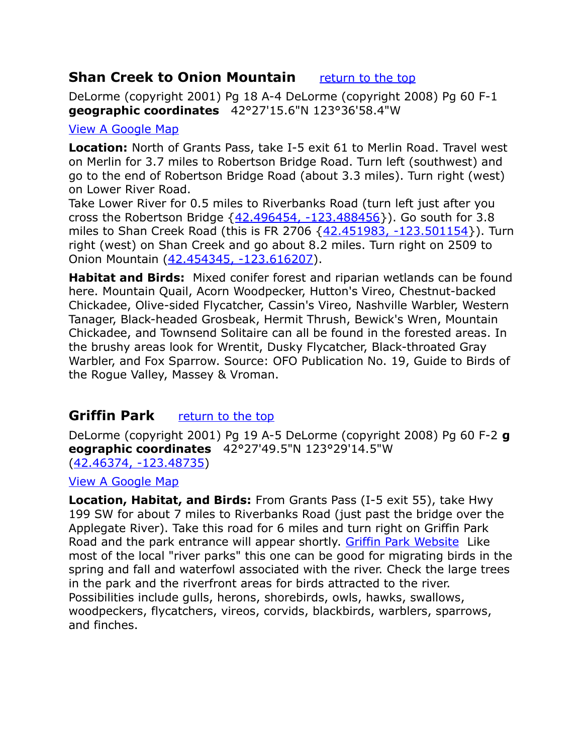# <span id="page-5-1"></span>**Shan Creek to Onion Mountain** *[return to the top](#page-0-0)*

DeLorme (copyright 2001) Pg 18 A-4 DeLorme (copyright 2008) Pg 60 F-1 **geographic coordinates** 42°27'15.6"N 123°36'58.4"W

#### [View A Google Map](http://maps.google.com/maps/ms?hl=en&ie=UTF8&msa=0&msid=108036481085398338899.0004736b7d4961bf0cec4&ll=42.555104,-123.434143&spn=0.664618,1.399384&z=10)

**Location:** North of Grants Pass, take I-5 exit 61 to Merlin Road. Travel west on Merlin for 3.7 miles to Robertson Bridge Road. Turn left (southwest) and go to the end of Robertson Bridge Road (about 3.3 miles). Turn right (west) on Lower River Road.

Take Lower River for 0.5 miles to Riverbanks Road (turn left just after you cross the Robertson Bridge  $\{42.496454, -123.488456\}$ ). Go south for 3.8 miles to Shan Creek Road (this is FR 2706 [{42.451983, -123.501154}](https://www.google.com/maps/place/42%C2%B027)). Turn right (west) on Shan Creek and go about 8.2 miles. Turn right on 2509 to Onion Mountain [\(42.454345, -123.616207\)](https://www.google.com/maps/place/42%C2%B027).

**Habitat and Birds:** Mixed conifer forest and riparian wetlands can be found here. Mountain Quail, Acorn Woodpecker, Hutton's Vireo, Chestnut-backed Chickadee, Olive-sided Flycatcher, Cassin's Vireo, Nashville Warbler, Western Tanager, Black-headed Grosbeak, Hermit Thrush, Bewick's Wren, Mountain Chickadee, and Townsend Solitaire can all be found in the forested areas. In the brushy areas look for Wrentit, Dusky Flycatcher, Black-throated Gray Warbler, and Fox Sparrow. Source: OFO Publication No. 19, Guide to Birds of the Rogue Valley, Massey & Vroman.

# <span id="page-5-0"></span>**Griffin Park** *[return to the top](#page-0-0)*

DeLorme (copyright 2001) Pg 19 A-5 DeLorme (copyright 2008) Pg 60 F-2 **g eographic coordinates** 42°27'49.5"N 123°29'14.5"W [\(42.46374, -123.48735\)](https://www.google.com/maps/place/42%C2%B027)

[View A Google Map](http://maps.google.com/maps/ms?ie=UTF8&hl=en&msa=0&msid=108036481085398338899.0004736bc755f40186f28&ll=42.38188,-123.376465&spn=0.666459,1.399384&z=10)

**Location, Habitat, and Birds:** From Grants Pass (I-5 exit 55), take Hwy 199 SW for about 7 miles to Riverbanks Road (just past the bridge over the Applegate River). Take this road for 6 miles and turn right on Griffin Park Road and the park entrance will appear shortly. [Griffin Park Website](http://www.co.josephine.or.us/Page.asp?NavID=1877) Like most of the local "river parks" this one can be good for migrating birds in the spring and fall and waterfowl associated with the river. Check the large trees in the park and the riverfront areas for birds attracted to the river. Possibilities include gulls, herons, shorebirds, owls, hawks, swallows, woodpeckers, flycatchers, vireos, corvids, blackbirds, warblers, sparrows, and finches.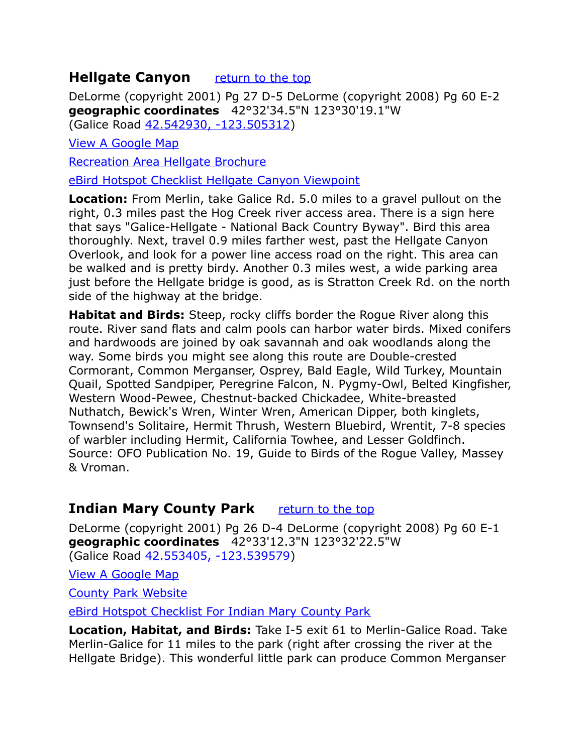# <span id="page-6-1"></span>**Hellgate Canyon** [return to the top](#page-0-0)

DeLorme (copyright 2001) Pg 27 D-5 DeLorme (copyright 2008) Pg 60 E-2 **geographic coordinates** 42°32'34.5"N 123°30'19.1"W (Galice Road [42.542930, -123.505312\)](https://www.google.com/maps/place/42%C2%B032)

[View A Google Map](http://maps.google.com/maps/ms?hl=en&ie=UTF8&msa=0&msid=108036481085398338899.00047578fc4de3745665a&ll=42.527784,-123.430023&spn=0.100446,0.264187&z=13)

[Recreation Area Hellgate Brochure](http://www.blm.gov/or/resources/recreation/rogue/files/HellgateRecArea.pdf)

[eBird Hotspot Checklist Hellgate Canyon Viewpoint](http://ebird.org/ebird/hotspot/L1875526?yr=all&m=&rank=mrec)

**Location:** From Merlin, take Galice Rd. 5.0 miles to a gravel pullout on the right, 0.3 miles past the Hog Creek river access area. There is a sign here that says "Galice-Hellgate - National Back Country Byway". Bird this area thoroughly. Next, travel 0.9 miles farther west, past the Hellgate Canyon Overlook, and look for a power line access road on the right. This area can be walked and is pretty birdy. Another 0.3 miles west, a wide parking area just before the Hellgate bridge is good, as is Stratton Creek Rd. on the north side of the highway at the bridge.

**Habitat and Birds:** Steep, rocky cliffs border the Rogue River along this route. River sand flats and calm pools can harbor water birds. Mixed conifers and hardwoods are joined by oak savannah and oak woodlands along the way. Some birds you might see along this route are Double-crested Cormorant, Common Merganser, Osprey, Bald Eagle, Wild Turkey, Mountain Quail, Spotted Sandpiper, Peregrine Falcon, N. Pygmy-Owl, Belted Kingfisher, Western Wood-Pewee, Chestnut-backed Chickadee, White-breasted Nuthatch, Bewick's Wren, Winter Wren, American Dipper, both kinglets, Townsend's Solitaire, Hermit Thrush, Western Bluebird, Wrentit, 7-8 species of warbler including Hermit, California Towhee, and Lesser Goldfinch. Source: OFO Publication No. 19, Guide to Birds of the Rogue Valley, Massey & Vroman.

# <span id="page-6-0"></span>**Indian Mary County Park** *[return to the top](#page-0-0)*

DeLorme (copyright 2001) Pg 26 D-4 DeLorme (copyright 2008) Pg 60 E-1 **geographic coordinates** 42°33'12.3"N 123°32'22.5"W (Galice Road [42.553405, -123.539579\)](https://www.google.com/maps/place/42%C2%B033)

[View A Google Map](http://maps.google.com/maps/ms?hl=en&ie=UTF8&msa=0&msid=108036481085398338899.0004736b7d4961bf0cec4&ll=42.555104,-123.434143&spn=0.664618,1.399384&z=10)

[County Park Website](http://www.co.josephine.or.us/Page.asp?NavID=491)

[eBird Hotspot Checklist For Indian Mary County Park](http://ebird.org/ebird/hotspot/L2203230?yr=all&m=&rank=mrec)

**Location, Habitat, and Birds:** Take I-5 exit 61 to Merlin-Galice Road. Take Merlin-Galice for 11 miles to the park (right after crossing the river at the Hellgate Bridge). This wonderful little park can produce Common Merganser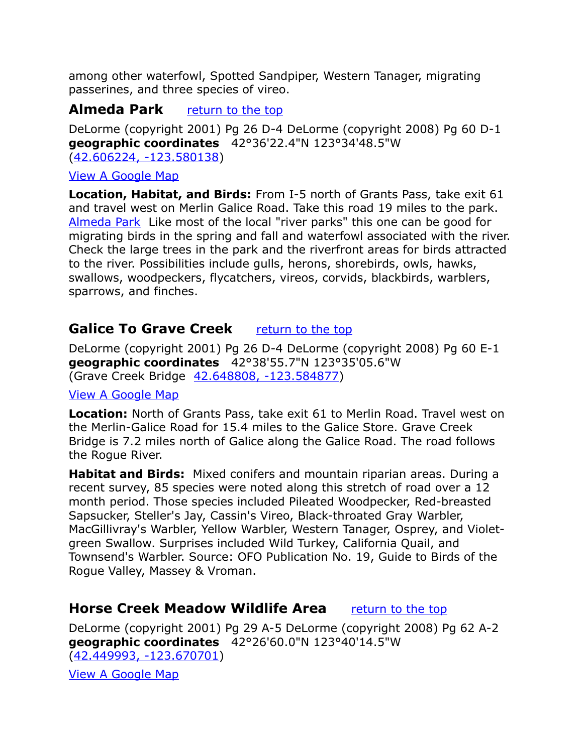among other waterfowl, Spotted Sandpiper, Western Tanager, migrating passerines, and three species of vireo.

# <span id="page-7-2"></span>**Almeda Park** *[return to the top](#page-0-0)*

DeLorme (copyright 2001) Pg 26 D-4 DeLorme (copyright 2008) Pg 60 D-1 **geographic coordinates** 42°36'22.4"N 123°34'48.5"W [\(42.606224, -123.580138\)](https://www.google.com/maps/place/42%C2%B036)

#### [View A Google Map](http://maps.google.com/maps/ms?hl=en&ie=UTF8&msa=0&msid=108036481085398338899.0004736b7d4961bf0cec4&ll=42.555104,-123.434143&spn=0.664618,1.399384&z=10)

**Location, Habitat, and Birds:** From I-5 north of Grants Pass, take exit 61 and travel west on Merlin Galice Road. Take this road 19 miles to the park. [Almeda Park](http://www.co.josephine.or.us/Page.asp?NavID=488) Like most of the local "river parks" this one can be good for migrating birds in the spring and fall and waterfowl associated with the river. Check the large trees in the park and the riverfront areas for birds attracted to the river. Possibilities include gulls, herons, shorebirds, owls, hawks, swallows, woodpeckers, flycatchers, vireos, corvids, blackbirds, warblers, sparrows, and finches.

# <span id="page-7-1"></span>**Galice To Grave Creek** *[return to the top](#page-0-0)*

DeLorme (copyright 2001) Pg 26 D-4 DeLorme (copyright 2008) Pg 60 E-1 **geographic coordinates** 42°38'55.7"N 123°35'05.6"W (Grave Creek Bridge [42.648808, -123.584877\)](https://www.google.com/maps/place/42%C2%B038)

#### [View A Google Map](http://maps.google.com/maps/ms?hl=en&ie=UTF8&msa=0&msid=108036481085398338899.0004736b7d4961bf0cec4&ll=42.555104,-123.434143&spn=0.664618,1.399384&z=10)

**Location:** North of Grants Pass, take exit 61 to Merlin Road. Travel west on the Merlin-Galice Road for 15.4 miles to the Galice Store. Grave Creek Bridge is 7.2 miles north of Galice along the Galice Road. The road follows the Rogue River.

**Habitat and Birds:** Mixed conifers and mountain riparian areas. During a recent survey, 85 species were noted along this stretch of road over a 12 month period. Those species included Pileated Woodpecker, Red-breasted Sapsucker, Steller's Jay, Cassin's Vireo, Black-throated Gray Warbler, MacGillivray's Warbler, Yellow Warbler, Western Tanager, Osprey, and Violetgreen Swallow. Surprises included Wild Turkey, California Quail, and Townsend's Warbler. Source: OFO Publication No. 19, Guide to Birds of the Rogue Valley, Massey & Vroman.

# <span id="page-7-0"></span>**Horse Creek Meadow Wildlife Area** [return to the top](#page-0-0)

DeLorme (copyright 2001) Pg 29 A-5 DeLorme (copyright 2008) Pg 62 A-2 **geographic coordinates** 42°26'60.0"N 123°40'14.5"W [\(42.449993, -123.670701\)](https://www.google.com/maps/place/42%C2%B026)

[View A Google Map](http://maps.google.com/maps/ms?hl=en&ie=UTF8&msa=0&msid=108036481085398338899.0004736b7d4961bf0cec4&ll=42.555104,-123.434143&spn=0.664618,1.399384&z=10)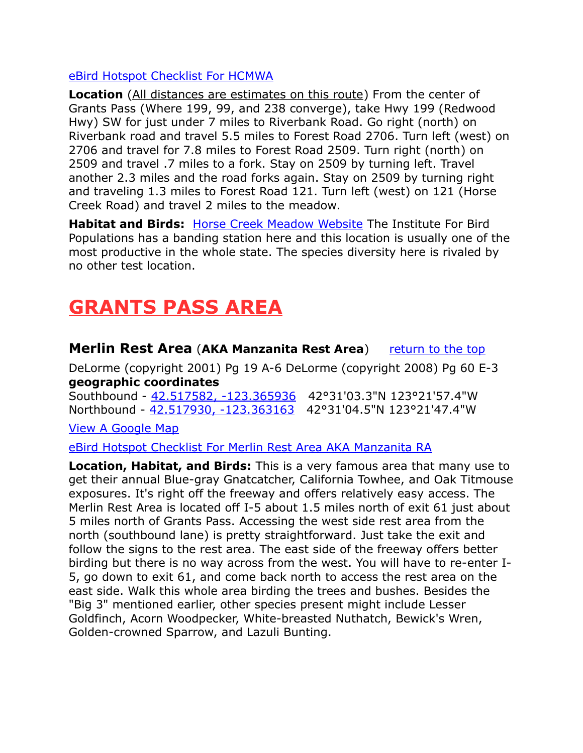#### [eBird Hotspot Checklist For HCMWA](http://ebird.org/ebird/hotspot/L1965370?yr=all&m=&rank=mrec)

**Location** (All distances are estimates on this route) From the center of Grants Pass (Where 199, 99, and 238 converge), take Hwy 199 (Redwood Hwy) SW for just under 7 miles to Riverbank Road. Go right (north) on Riverbank road and travel 5.5 miles to Forest Road 2706. Turn left (west) on 2706 and travel for 7.8 miles to Forest Road 2509. Turn right (north) on 2509 and travel .7 miles to a fork. Stay on 2509 by turning left. Travel another 2.3 miles and the road forks again. Stay on 2509 by turning right and traveling 1.3 miles to Forest Road 121. Turn left (west) on 121 (Horse Creek Road) and travel 2 miles to the meadow.

**Habitat and Birds:** [Horse Creek Meadow Website](http://www.audubonportland.org/issues/statewide/iba/iba-map/horsecreek) The Institute For Bird Populations has a banding station here and this location is usually one of the most productive in the whole state. The species diversity here is rivaled by no other test location.

# <span id="page-8-1"></span>**GRANTS PASS AREA**

<span id="page-8-0"></span>**Merlin Rest Area (AKA Manzanita Rest Area)** [return to the top](#page-0-0) DeLorme (copyright 2001) Pg 19 A-6 DeLorme (copyright 2008) Pg 60 E-3 **geographic coordinates**

Southbound - [42.517582, -123.365936](https://www.google.com/maps/place/42%C2%B031) 42°31'03.3"N 123°21'57.4"W Northbound - [42.517930, -123.363163](https://www.google.com/maps/place/42%C2%B031) 42°31'04.5"N 123°21'47.4"W

[View A Google Map](http://maps.google.com/maps/ms?hl=en&ie=UTF8&msa=0&msid=108036481085398338899.0004736b7d4961bf0cec4&ll=42.555104,-123.434143&spn=0.664618,1.399384&z=10)

[eBird Hotspot Checklist For Merlin Rest Area AKA Manzanita RA](http://ebird.org/ebird/hotspot/L1438793?yr=all&m=&rank=mrec)

**Location, Habitat, and Birds:** This is a very famous area that many use to get their annual Blue-gray Gnatcatcher, California Towhee, and Oak Titmouse exposures. It's right off the freeway and offers relatively easy access. The Merlin Rest Area is located off I-5 about 1.5 miles north of exit 61 just about 5 miles north of Grants Pass. Accessing the west side rest area from the north (southbound lane) is pretty straightforward. Just take the exit and follow the signs to the rest area. The east side of the freeway offers better birding but there is no way across from the west. You will have to re-enter I-5, go down to exit 61, and come back north to access the rest area on the east side. Walk this whole area birding the trees and bushes. Besides the "Big 3" mentioned earlier, other species present might include Lesser Goldfinch, Acorn Woodpecker, White-breasted Nuthatch, Bewick's Wren, Golden-crowned Sparrow, and Lazuli Bunting.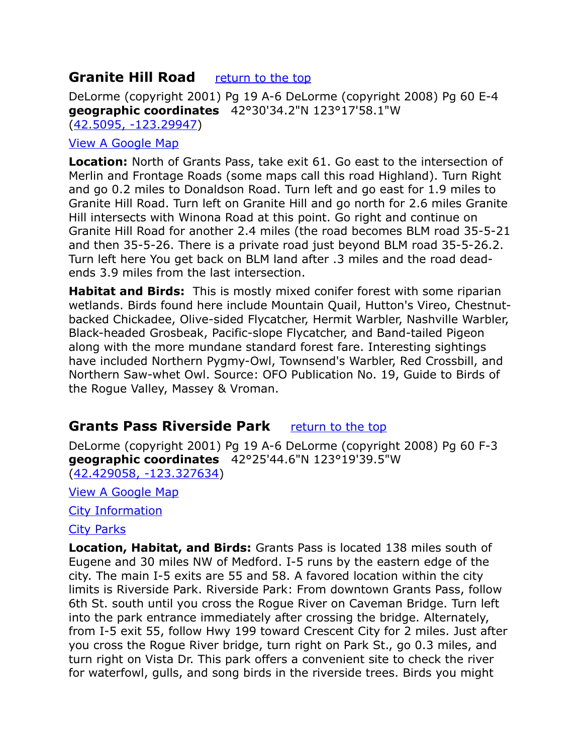# <span id="page-9-1"></span>**Granite Hill Road <u>[return to the top](#page-0-0)</u>**

DeLorme (copyright 2001) Pg 19 A-6 DeLorme (copyright 2008) Pg 60 E-4 **geographic coordinates** 42°30'34.2"N 123°17'58.1"W [\(42.5095, -123.29947\)](https://www.google.com/maps/place/42%C2%B030)

#### [View A Google Map](http://maps.google.com/maps/ms?hl=en&ie=UTF8&msa=0&msid=108036481085398338899.0004736b7d4961bf0cec4&ll=42.555104,-123.434143&spn=0.664618,1.399384&z=10)

**Location:** North of Grants Pass, take exit 61. Go east to the intersection of Merlin and Frontage Roads (some maps call this road Highland). Turn Right and go 0.2 miles to Donaldson Road. Turn left and go east for 1.9 miles to Granite Hill Road. Turn left on Granite Hill and go north for 2.6 miles Granite Hill intersects with Winona Road at this point. Go right and continue on Granite Hill Road for another 2.4 miles (the road becomes BLM road 35-5-21 and then 35-5-26. There is a private road just beyond BLM road 35-5-26.2. Turn left here You get back on BLM land after .3 miles and the road deadends 3.9 miles from the last intersection.

**Habitat and Birds:** This is mostly mixed conifer forest with some riparian wetlands. Birds found here include Mountain Quail, Hutton's Vireo, Chestnutbacked Chickadee, Olive-sided Flycatcher, Hermit Warbler, Nashville Warbler, Black-headed Grosbeak, Pacific-slope Flycatcher, and Band-tailed Pigeon along with the more mundane standard forest fare. Interesting sightings have included Northern Pygmy-Owl, Townsend's Warbler, Red Crossbill, and Northern Saw-whet Owl. Source: OFO Publication No. 19, Guide to Birds of the Rogue Valley, Massey & Vroman.

# <span id="page-9-0"></span>**Grants Pass Riverside Park** [return to the top](#page-0-0)

DeLorme (copyright 2001) Pg 19 A-6 DeLorme (copyright 2008) Pg 60 F-3 **geographic coordinates** 42°25'44.6"N 123°19'39.5"W [\(42.429058, -123.327634\)](https://www.google.com/maps/place/42%C2%B025)

[View A Google Map](http://maps.google.com/maps/ms?ie=UTF8&hl=en&msa=0&msid=108036481085398338899.0004736bc755f40186f28&ll=42.38188,-123.376465&spn=0.666459,1.399384&z=10)

[City Information](http://www.citytowninfo.com/places/oregon/grants-pass)

#### [City Parks](http://www.grantspassoregon.gov/Index.aspx?page=147)

**Location, Habitat, and Birds:** Grants Pass is located 138 miles south of Eugene and 30 miles NW of Medford. I-5 runs by the eastern edge of the city. The main I-5 exits are 55 and 58. A favored location within the city limits is Riverside Park. Riverside Park: From downtown Grants Pass, follow 6th St. south until you cross the Rogue River on Caveman Bridge. Turn left into the park entrance immediately after crossing the bridge. Alternately, from I-5 exit 55, follow Hwy 199 toward Crescent City for 2 miles. Just after you cross the Rogue River bridge, turn right on Park St., go 0.3 miles, and turn right on Vista Dr. This park offers a convenient site to check the river for waterfowl, gulls, and song birds in the riverside trees. Birds you might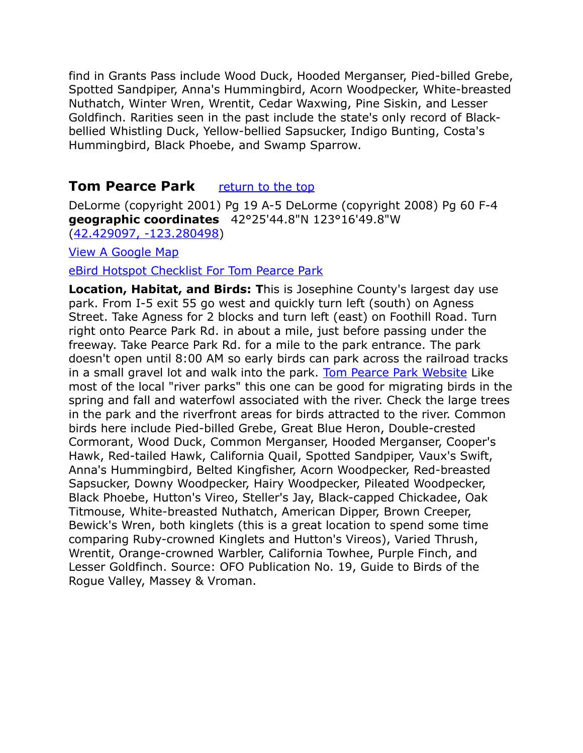find in Grants Pass include Wood Duck, Hooded Merganser, Pied-billed Grebe, Spotted Sandpiper, Anna's Hummingbird, Acorn Woodpecker, White-breasted Nuthatch, Winter Wren, Wrentit, Cedar Waxwing, Pine Siskin, and Lesser Goldfinch. Rarities seen in the past include the state's only record of Blackbellied Whistling Duck, Yellow-bellied Sapsucker, Indigo Bunting, Costa's Hummingbird, Black Phoebe, and Swamp Sparrow.

# <span id="page-10-0"></span>**Tom Pearce Park** *[return to the top](#page-0-0)*

DeLorme (copyright 2001) Pg 19 A-5 DeLorme (copyright 2008) Pg 60 F-4 **geographic coordinates** 42°25'44.8"N 123°16'49.8"W [\(42.429097, -123.280498\)](https://www.google.com/maps/place/42%C2%B025)

[View A Google Map](http://maps.google.com/maps/ms?ie=UTF8&hl=en&msa=0&msid=108036481085398338899.0004736bc755f40186f28&ll=42.38188,-123.376465&spn=0.666459,1.399384&z=10)

[eBird Hotspot Checklist For Tom Pearce Park](http://ebird.org/ebird/hotspot/L2203233?yr=all&m=&rank=mrec)

**Location, Habitat, and Birds: T**his is Josephine County's largest day use park. From I-5 exit 55 go west and quickly turn left (south) on Agness Street. Take Agness for 2 blocks and turn left (east) on Foothill Road. Turn right onto Pearce Park Rd. in about a mile, just before passing under the freeway. Take Pearce Park Rd. for a mile to the park entrance. The park doesn't open until 8:00 AM so early birds can park across the railroad tracks in a small gravel lot and walk into the park. [Tom Pearce Park Website](http://www.co.josephine.or.us/Page.asp?NavID=1881) Like most of the local "river parks" this one can be good for migrating birds in the spring and fall and waterfowl associated with the river. Check the large trees in the park and the riverfront areas for birds attracted to the river. Common birds here include Pied-billed Grebe, Great Blue Heron, Double-crested Cormorant, Wood Duck, Common Merganser, Hooded Merganser, Cooper's Hawk, Red-tailed Hawk, California Quail, Spotted Sandpiper, Vaux's Swift, Anna's Hummingbird, Belted Kingfisher, Acorn Woodpecker, Red-breasted Sapsucker, Downy Woodpecker, Hairy Woodpecker, Pileated Woodpecker, Black Phoebe, Hutton's Vireo, Steller's Jay, Black-capped Chickadee, Oak Titmouse, White-breasted Nuthatch, American Dipper, Brown Creeper, Bewick's Wren, both kinglets (this is a great location to spend some time comparing Ruby-crowned Kinglets and Hutton's Vireos), Varied Thrush, Wrentit, Orange-crowned Warbler, California Towhee, Purple Finch, and Lesser Goldfinch. Source: OFO Publication No. 19, Guide to Birds of the Rogue Valley, Massey & Vroman.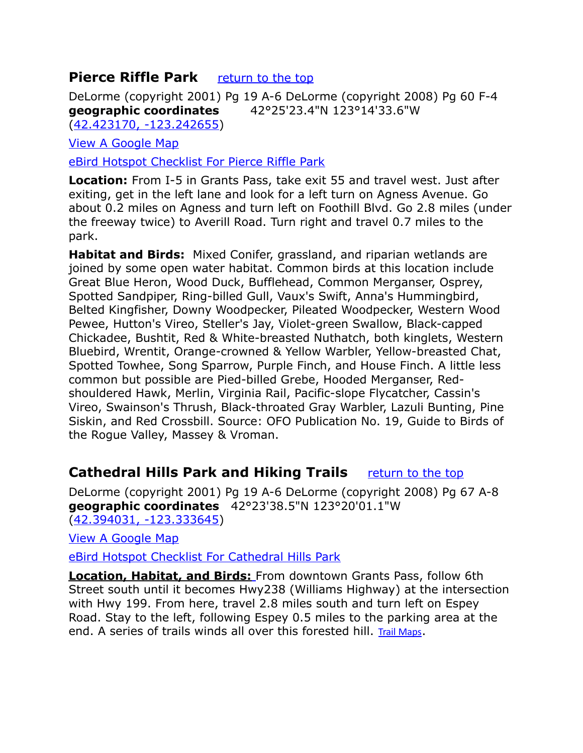# <span id="page-11-1"></span>**Pierce Riffle Park** *[return to the top](#page-0-0)*

DeLorme (copyright 2001) Pg 19 A-6 DeLorme (copyright 2008) Pg 60 F-4 **geographic coordinates** 42°25'23.4"N 123°14'33.6"W [\(42.423170, -123.242655\)](https://www.google.com/maps/place/42%C2%B025)

[View A Google Map](http://maps.google.com/maps/ms?ie=UTF8&hl=en&msa=0&msid=108036481085398338899.0004736bc755f40186f28&ll=42.38188,-123.376465&spn=0.666459,1.399384&z=10)

[eBird Hotspot Checklist For Pierce Riffle Park](http://ebird.org/ebird/hotspot/L990673?yr=all&m=&rank=mrec)

**Location:** From I-5 in Grants Pass, take exit 55 and travel west. Just after exiting, get in the left lane and look for a left turn on Agness Avenue. Go about 0.2 miles on Agness and turn left on Foothill Blvd. Go 2.8 miles (under the freeway twice) to Averill Road. Turn right and travel 0.7 miles to the park.

**Habitat and Birds:** Mixed Conifer, grassland, and riparian wetlands are joined by some open water habitat. Common birds at this location include Great Blue Heron, Wood Duck, Bufflehead, Common Merganser, Osprey, Spotted Sandpiper, Ring-billed Gull, Vaux's Swift, Anna's Hummingbird, Belted Kingfisher, Downy Woodpecker, Pileated Woodpecker, Western Wood Pewee, Hutton's Vireo, Steller's Jay, Violet-green Swallow, Black-capped Chickadee, Bushtit, Red & White-breasted Nuthatch, both kinglets, Western Bluebird, Wrentit, Orange-crowned & Yellow Warbler, Yellow-breasted Chat, Spotted Towhee, Song Sparrow, Purple Finch, and House Finch. A little less common but possible are Pied-billed Grebe, Hooded Merganser, Redshouldered Hawk, Merlin, Virginia Rail, Pacific-slope Flycatcher, Cassin's Vireo, Swainson's Thrush, Black-throated Gray Warbler, Lazuli Bunting, Pine Siskin, and Red Crossbill. Source: OFO Publication No. 19, Guide to Birds of the Rogue Valley, Massey & Vroman.

# <span id="page-11-0"></span>**Cathedral Hills Park and Hiking Trails** *[return to the top](#page-0-0)*

DeLorme (copyright 2001) Pg 19 A-6 DeLorme (copyright 2008) Pg 67 A-8 **geographic coordinates** 42°23'38.5"N 123°20'01.1"W [\(42.394031, -123.333645\)](https://www.google.com/maps/place/42%C2%B023)

[View A Google Map](http://maps.google.com/maps/ms?ie=UTF8&hl=en&msa=0&msid=108036481085398338899.0004736bc755f40186f28&ll=42.38188,-123.376465&spn=0.666459,1.399384&z=10)

[eBird Hotspot Checklist For Cathedral Hills Park](http://ebird.org/ebird/hotspot/L2075474?yr=all&m=&rank=mrec)

 **Location, Habitat, and Birds:** From downtown Grants Pass, follow 6th Street south until it becomes Hwy238 (Williams Highway) at the intersection with Hwy 199. From here, travel 2.8 miles south and turn left on Espey Road. Stay to the left, following Espey 0.5 miles to the parking area at the end. A series of trails winds all over this forested hill. [Trail Maps](http://www.co.josephine.or.us/Page.asp?NavID=489).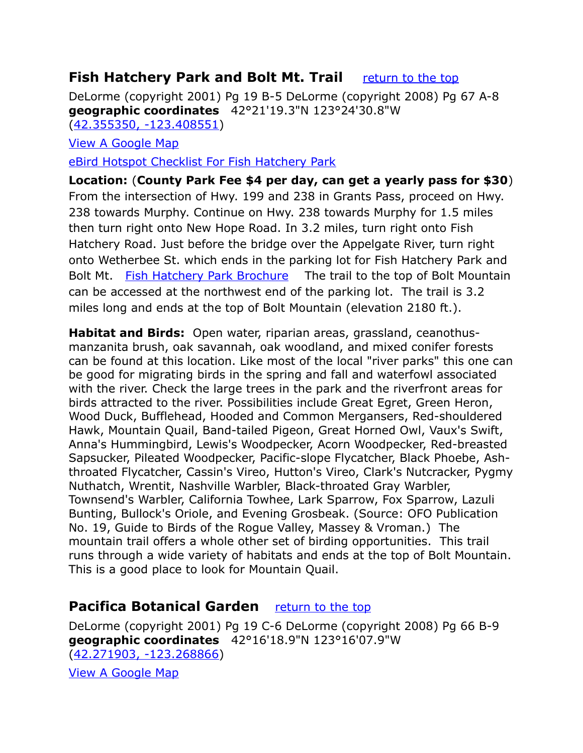# <span id="page-12-0"></span>**Fish Hatchery Park and Bolt Mt. Trail** [return to the top](#page-0-0)

DeLorme (copyright 2001) Pg 19 B-5 DeLorme (copyright 2008) Pg 67 A-8 **geographic coordinates** 42°21'19.3"N 123°24'30.8"W [\(42.355350, -123.408551\)](https://www.google.com/maps/place/42%C2%B021)

[View A Google Map](http://maps.google.com/maps/ms?ie=UTF8&hl=en&msa=0&msid=108036481085398338899.0004736bc755f40186f28&ll=42.38188,-123.376465&spn=0.666459,1.399384&z=10)

[eBird Hotspot Checklist For Fish Hatchery Park](http://ebird.org/ebird/hotspot/L1916459?yr=all&m=&rank=mrec)

**Location:** (**County Park Fee \$4 per day, can get a yearly pass for \$30**) From the intersection of Hwy. 199 and 238 in Grants Pass, proceed on Hwy. 238 towards Murphy. Continue on Hwy. 238 towards Murphy for 1.5 miles then turn right onto New Hope Road. In 3.2 miles, turn right onto Fish Hatchery Road. Just before the bridge over the Appelgate River, turn right onto Wetherbee St. which ends in the parking lot for Fish Hatchery Park and Bolt Mt. [Fish Hatchery Park Brochure](http://www.blm.gov/or/resources/recreation/files/brochures/BoltMtnROG2pages.pdf) The trail to the top of Bolt Mountain can be accessed at the northwest end of the parking lot. The trail is 3.2 miles long and ends at the top of Bolt Mountain (elevation 2180 ft.).

**Habitat and Birds:** Open water, riparian areas, grassland, ceanothusmanzanita brush, oak savannah, oak woodland, and mixed conifer forests can be found at this location. Like most of the local "river parks" this one can be good for migrating birds in the spring and fall and waterfowl associated with the river. Check the large trees in the park and the riverfront areas for birds attracted to the river. Possibilities include Great Egret, Green Heron, Wood Duck, Bufflehead, Hooded and Common Mergansers, Red-shouldered Hawk, Mountain Quail, Band-tailed Pigeon, Great Horned Owl, Vaux's Swift, Anna's Hummingbird, Lewis's Woodpecker, Acorn Woodpecker, Red-breasted Sapsucker, Pileated Woodpecker, Pacific-slope Flycatcher, Black Phoebe, Ashthroated Flycatcher, Cassin's Vireo, Hutton's Vireo, Clark's Nutcracker, Pygmy Nuthatch, Wrentit, Nashville Warbler, Black-throated Gray Warbler, Townsend's Warbler, California Towhee, Lark Sparrow, Fox Sparrow, Lazuli Bunting, Bullock's Oriole, and Evening Grosbeak. (Source: OFO Publication No. 19, Guide to Birds of the Rogue Valley, Massey & Vroman.) The mountain trail offers a whole other set of birding opportunities. This trail runs through a wide variety of habitats and ends at the top of Bolt Mountain. This is a good place to look for Mountain Quail.

# <span id="page-12-1"></span>**Pacifica Botanical Garden** *[return to the top](#page-0-0)*

DeLorme (copyright 2001) Pg 19 C-6 DeLorme (copyright 2008) Pg 66 B-9 **geographic coordinates** 42°16'18.9"N 123°16'07.9"W [\(42.271903, -123.268866\)](https://www.google.com/maps/place/42%C2%B016)

[View A Google Map](http://maps.google.com/maps/ms?ie=UTF8&hl=en&msa=0&msid=108036481085398338899.0004736bc755f40186f28&ll=42.38188,-123.376465&spn=0.666459,1.399384&z=10)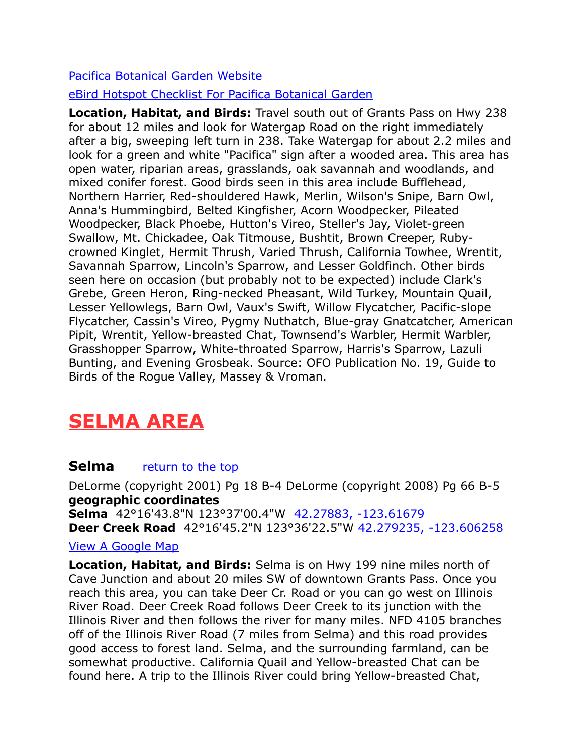#### [Pacifica Botanical Garden Website](http://pacificagarden.org/)

#### [eBird Hotspot Checklist For Pacifica Botanical Garden](http://ebird.org/ebird/hotspot/L1900948?yr=all&m=&rank=mrec)

**Location, Habitat, and Birds:** Travel south out of Grants Pass on Hwy 238 for about 12 miles and look for Watergap Road on the right immediately after a big, sweeping left turn in 238. Take Watergap for about 2.2 miles and look for a green and white "Pacifica" sign after a wooded area. This area has open water, riparian areas, grasslands, oak savannah and woodlands, and mixed conifer forest. Good birds seen in this area include Bufflehead, Northern Harrier, Red-shouldered Hawk, Merlin, Wilson's Snipe, Barn Owl, Anna's Hummingbird, Belted Kingfisher, Acorn Woodpecker, Pileated Woodpecker, Black Phoebe, Hutton's Vireo, Steller's Jay, Violet-green Swallow, Mt. Chickadee, Oak Titmouse, Bushtit, Brown Creeper, Rubycrowned Kinglet, Hermit Thrush, Varied Thrush, California Towhee, Wrentit, Savannah Sparrow, Lincoln's Sparrow, and Lesser Goldfinch. Other birds seen here on occasion (but probably not to be expected) include Clark's Grebe, Green Heron, Ring-necked Pheasant, Wild Turkey, Mountain Quail, Lesser Yellowlegs, Barn Owl, Vaux's Swift, Willow Flycatcher, Pacific-slope Flycatcher, Cassin's Vireo, Pygmy Nuthatch, Blue-gray Gnatcatcher, American Pipit, Wrentit, Yellow-breasted Chat, Townsend's Warbler, Hermit Warbler, Grasshopper Sparrow, White-throated Sparrow, Harris's Sparrow, Lazuli Bunting, and Evening Grosbeak. Source: OFO Publication No. 19, Guide to Birds of the Rogue Valley, Massey & Vroman.

# <span id="page-13-0"></span>**SELMA AREA**

# **Selma** *return* to the top

DeLorme (copyright 2001) Pg 18 B-4 DeLorme (copyright 2008) Pg 66 B-5 **geographic coordinates Selma** 42°16'43.8"N 123°37'00.4"W [42.27883, -123.61679](https://www.google.com/maps/place/42%C2%B016)  **Deer Creek Road** 42°16'45.2"N 123°36'22.5"W [42.279235, -123.606258](https://www.google.com/maps/place/42%C2%B016) 

#### [View A Google Map](http://maps.google.com/maps/ms?ie=UTF8&hl=en&msa=0&msid=108036481085398338899.0004736bed88af5fda4f1&ll=42.148133,-123.642883&spn=0.668935,1.399384&z=10)

**Location, Habitat, and Birds:** Selma is on Hwy 199 nine miles north of Cave Junction and about 20 miles SW of downtown Grants Pass. Once you reach this area, you can take Deer Cr. Road or you can go west on Illinois River Road. Deer Creek Road follows Deer Creek to its junction with the Illinois River and then follows the river for many miles. NFD 4105 branches off of the Illinois River Road (7 miles from Selma) and this road provides good access to forest land. Selma, and the surrounding farmland, can be somewhat productive. California Quail and Yellow-breasted Chat can be found here. A trip to the Illinois River could bring Yellow-breasted Chat,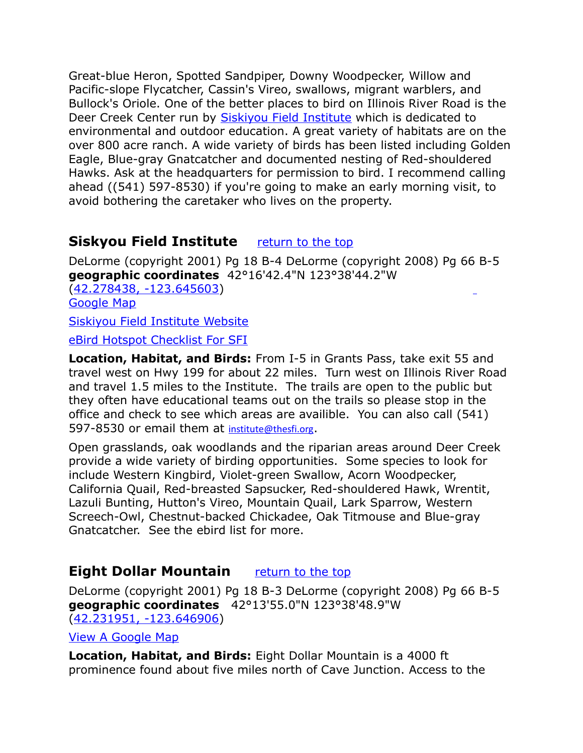Great-blue Heron, Spotted Sandpiper, Downy Woodpecker, Willow and Pacific-slope Flycatcher, Cassin's Vireo, swallows, migrant warblers, and Bullock's Oriole. One of the better places to bird on Illinois River Road is the Deer Creek Center run by **Siskiyou Field Institute** which is dedicated to environmental and outdoor education. A great variety of habitats are on the over 800 acre ranch. A wide variety of birds has been listed including Golden Eagle, Blue-gray Gnatcatcher and documented nesting of Red-shouldered Hawks. Ask at the headquarters for permission to bird. I recommend calling ahead ((541) 597-8530) if you're going to make an early morning visit, to avoid bothering the caretaker who lives on the property.

# <span id="page-14-1"></span>**Siskyou Field Institute** *[return to the top](#page-0-0)*

DeLorme (copyright 2001) Pg 18 B-4 DeLorme (copyright 2008) Pg 66 B-5 **geographic coordinates** 42°16'42.4"N 123°38'44.2"W [\(42.278438, -123.645603\)](https://www.google.com/maps/place/42%C2%B016)

[Google Map](http://maps.google.com/maps/ms?ie=UTF8&hl=en&msa=0&msid=108036481085398338899.0004736bed88af5fda4f1&ll=42.148133,-123.642883&spn=0.668935,1.399384&z=10)

[Siskiyou Field Institute Website](http://www.thesfi.org/index.asp)

[eBird Hotspot Checklist For SFI](http://ebird.org/ebird/hotspot/L561407)

**Location, Habitat, and Birds:** From I-5 in Grants Pass, take exit 55 and travel west on Hwy 199 for about 22 miles. Turn west on Illinois River Road and travel 1.5 miles to the Institute. The trails are open to the public but they often have educational teams out on the trails so please stop in the office and check to see which areas are availible. You can also call (541) 597-8530 or email them at [institute@thesfi.org](mailto:institute@thesfi.org).

Open grasslands, oak woodlands and the riparian areas around Deer Creek provide a wide variety of birding opportunities. Some species to look for include Western Kingbird, Violet-green Swallow, Acorn Woodpecker, California Quail, Red-breasted Sapsucker, Red-shouldered Hawk, Wrentit, Lazuli Bunting, Hutton's Vireo, Mountain Quail, Lark Sparrow, Western Screech-Owl, Chestnut-backed Chickadee, Oak Titmouse and Blue-gray Gnatcatcher. See the ebird list for more.

# <span id="page-14-0"></span>**Eight Dollar Mountain** [return to the top](#page-0-0)

DeLorme (copyright 2001) Pg 18 B-3 DeLorme (copyright 2008) Pg 66 B-5 **geographic coordinates** 42°13'55.0"N 123°38'48.9"W [\(42.231951, -123.646906\)](https://www.google.com/maps/place/42%C2%B013)

[View A Google Map](http://maps.google.com/maps/ms?ie=UTF8&hl=en&msa=0&msid=108036481085398338899.0004736bed88af5fda4f1&ll=42.148133,-123.642883&spn=0.668935,1.399384&z=10)

**Location, Habitat, and Birds:** Eight Dollar Mountain is a 4000 ft prominence found about five miles north of Cave Junction. Access to the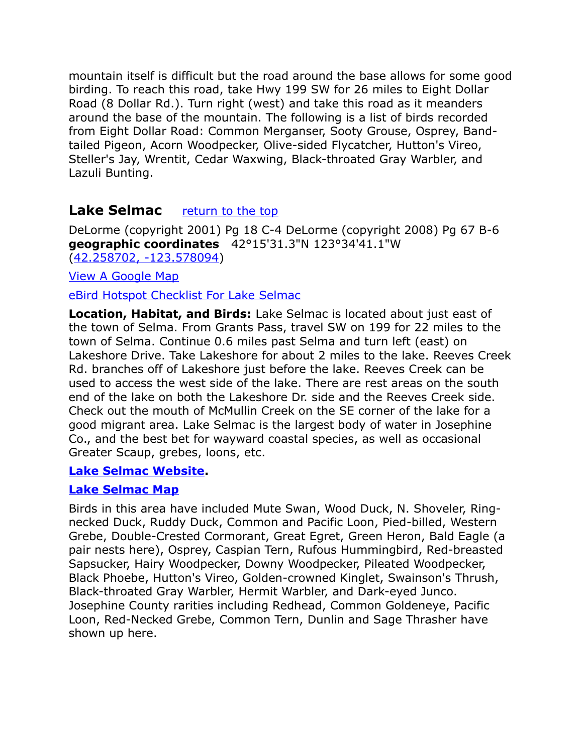mountain itself is difficult but the road around the base allows for some good birding. To reach this road, take Hwy 199 SW for 26 miles to Eight Dollar Road (8 Dollar Rd.). Turn right (west) and take this road as it meanders around the base of the mountain. The following is a list of birds recorded from Eight Dollar Road: Common Merganser, Sooty Grouse, Osprey, Bandtailed Pigeon, Acorn Woodpecker, Olive-sided Flycatcher, Hutton's Vireo, Steller's Jay, Wrentit, Cedar Waxwing, Black-throated Gray Warbler, and Lazuli Bunting.

# <span id="page-15-0"></span>**Lake Selmac** [return to the top](#page-0-0)

DeLorme (copyright 2001) Pg 18 C-4 DeLorme (copyright 2008) Pg 67 B-6 **geographic coordinates** 42°15'31.3"N 123°34'41.1"W [\(42.258702, -123.578094\)](https://www.google.com/maps/place/42%C2%B015)

[View A Google Map](http://maps.google.com/maps/ms?ie=UTF8&hl=en&msa=0&msid=108036481085398338899.0004736bed88af5fda4f1&ll=42.148133,-123.642883&spn=0.668935,1.399384&z=10)

[eBird Hotspot Checklist For Lake Selmac](http://ebird.org/ebird/hotspot/L728350?yr=all&m=&rank=mrec)

**Location, Habitat, and Birds:** Lake Selmac is located about just east of the town of Selma. From Grants Pass, travel SW on 199 for 22 miles to the town of Selma. Continue 0.6 miles past Selma and turn left (east) on Lakeshore Drive. Take Lakeshore for about 2 miles to the lake. Reeves Creek Rd. branches off of Lakeshore just before the lake. Reeves Creek can be used to access the west side of the lake. There are rest areas on the south end of the lake on both the Lakeshore Dr. side and the Reeves Creek side. Check out the mouth of McMullin Creek on the SE corner of the lake for a good migrant area. Lake Selmac is the largest body of water in Josephine Co., and the best bet for wayward coastal species, as well as occasional Greater Scaup, grebes, loons, etc.

#### **[Lake Selmac Website.](http://www.co.josephine.or.us/Page.asp?NavID=492)**

#### **[Lake Selmac Map](http://www.co.josephine.or.us/Images/ImageManager/selmac_map2.jpg)**

Birds in this area have included Mute Swan, Wood Duck, N. Shoveler, Ringnecked Duck, Ruddy Duck, Common and Pacific Loon, Pied-billed, Western Grebe, Double-Crested Cormorant, Great Egret, Green Heron, Bald Eagle (a pair nests here), Osprey, Caspian Tern, Rufous Hummingbird, Red-breasted Sapsucker, Hairy Woodpecker, Downy Woodpecker, Pileated Woodpecker, Black Phoebe, Hutton's Vireo, Golden-crowned Kinglet, Swainson's Thrush, Black-throated Gray Warbler, Hermit Warbler, and Dark-eyed Junco. Josephine County rarities including Redhead, Common Goldeneye, Pacific Loon, Red-Necked Grebe, Common Tern, Dunlin and Sage Thrasher have shown up here.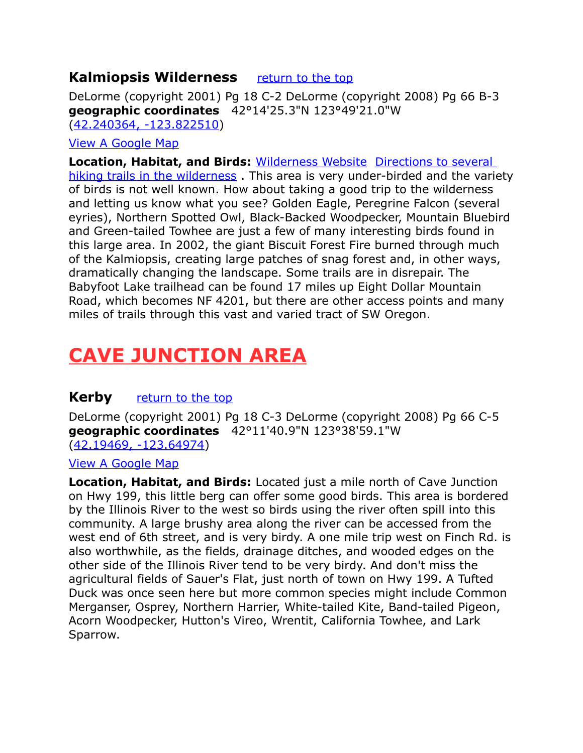# <span id="page-16-3"></span>**Kalmiopsis Wilderness** [return to the top](#page-0-0)

DeLorme (copyright 2001) Pg 18 C-2 DeLorme (copyright 2008) Pg 66 B-3 **geographic coordinates** 42°14'25.3"N 123°49'21.0"W [\(42.240364, -123.822510\)](https://www.google.com/maps/place/42%C2%B014)

#### [View A Google Map](http://maps.google.com/maps/ms?ie=UTF8&hl=en&msa=0&msid=108036481085398338899.0004736bed88af5fda4f1&ll=42.148133,-123.642883&spn=0.668935,1.399384&z=10)

**Location, Habitat, and Birds:** [Wilderness Website](http://www.wilderness.net/index.cfm?fuse=NWPS&sec=wildView&wname=Kalmiopsis%20Wilderness) [Directions to several](http://www.fs.usda.gov/recarea/rogue-siskiyou/recarea/?recid=77582)  hiking trails in the wilderness</u>. This area is very under-birded and the variety of birds is not well known. How about taking a good trip to the wilderness and letting us know what you see? Golden Eagle, Peregrine Falcon (several eyries), Northern Spotted Owl, Black-Backed Woodpecker, Mountain Bluebird and Green-tailed Towhee are just a few of many interesting birds found in this large area. In 2002, the giant Biscuit Forest Fire burned through much of the Kalmiopsis, creating large patches of snag forest and, in other ways, dramatically changing the landscape. Some trails are in disrepair. The Babyfoot Lake trailhead can be found 17 miles up Eight Dollar Mountain Road, which becomes NF 4201, but there are other access points and many miles of trails through this vast and varied tract of SW Oregon.

# <span id="page-16-2"></span>**CAVE JUNCTION AREA**

# <span id="page-16-1"></span>**Kerby** [return to the top](#page-0-0)

DeLorme (copyright 2001) Pg 18 C-3 DeLorme (copyright 2008) Pg 66 C-5 **geographic coordinates** 42°11'40.9"N 123°38'59.1"W [\(42.19469, -123.64974\)](https://www.google.com/maps/place/42%C2%B011)

#### [View A Google Map](http://maps.google.com/maps/ms?ie=UTF8&hl=en&msa=0&msid=108036481085398338899.0004736bed88af5fda4f1&ll=42.148133,-123.642883&spn=0.668935,1.399384&z=10)

<span id="page-16-0"></span>**Location, Habitat, and Birds:** Located just a mile north of Cave Junction on Hwy 199, this little berg can offer some good birds. This area is bordered by the Illinois River to the west so birds using the river often spill into this community. A large brushy area along the river can be accessed from the west end of 6th street, and is very birdy. A one mile trip west on Finch Rd. is also worthwhile, as the fields, drainage ditches, and wooded edges on the other side of the Illinois River tend to be very birdy. And don't miss the agricultural fields of Sauer's Flat, just north of town on Hwy 199. A Tufted Duck was once seen here but more common species might include Common Merganser, Osprey, Northern Harrier, White-tailed Kite, Band-tailed Pigeon, Acorn Woodpecker, Hutton's Vireo, Wrentit, California Towhee, and Lark Sparrow.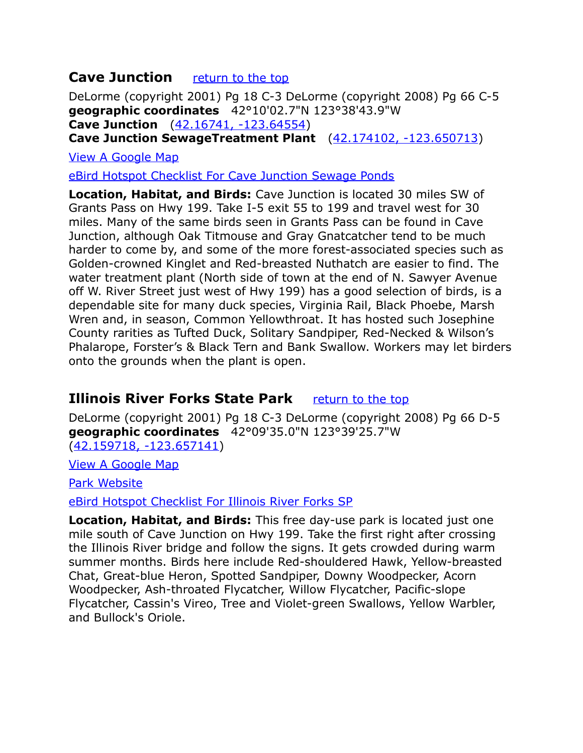# **Cave Junction** [return to the top](#page-0-0)

DeLorme (copyright 2001) Pg 18 C-3 DeLorme (copyright 2008) Pg 66 C-5 **geographic coordinates** 42°10'02.7"N 123°38'43.9"W **Cave Junction** [\(42.16741, -123.64554\)](https://www.google.com/maps/place/42%C2%B010)

**Cave Junction SewageTreatment Plant** [\(42.174102, -123.650713\)](https://www.google.com/maps/place/42%C2%B010)

[View A Google Map](http://maps.google.com/maps/ms?ie=UTF8&hl=en&msa=0&msid=108036481085398338899.0004736bed88af5fda4f1&ll=42.148133,-123.642883&spn=0.668935,1.399384&z=10)

[eBird Hotspot Checklist For Cave Junction Sewage Ponds](http://ebird.org/ebird/hotspot/L2394301?yr=all&m=&rank=mrec)

**Location, Habitat, and Birds:** Cave Junction is located 30 miles SW of Grants Pass on Hwy 199. Take I-5 exit 55 to 199 and travel west for 30 miles. Many of the same birds seen in Grants Pass can be found in Cave Junction, although Oak Titmouse and Gray Gnatcatcher tend to be much harder to come by, and some of the more forest-associated species such as Golden-crowned Kinglet and Red-breasted Nuthatch are easier to find. The water treatment plant (North side of town at the end of N. Sawyer Avenue off W. River Street just west of Hwy 199) has a good selection of birds, is a dependable site for many duck species, Virginia Rail, Black Phoebe, Marsh Wren and, in season, Common Yellowthroat. It has hosted such Josephine County rarities as Tufted Duck, Solitary Sandpiper, Red-Necked & Wilson's Phalarope, Forster's & Black Tern and Bank Swallow. Workers may let birders onto the grounds when the plant is open.

# <span id="page-17-0"></span>**Illinois River Forks State Park** [return to the top](#page-0-0)

DeLorme (copyright 2001) Pg 18 C-3 DeLorme (copyright 2008) Pg 66 D-5 **geographic coordinates** 42°09'35.0"N 123°39'25.7"W [\(42.159718, -123.657141\)](https://www.google.com/maps/place/42%C2%B009)

[View A Google Map](http://maps.google.com/maps/ms?ie=UTF8&hl=en&msa=0&ll=42.135913,-123.285828&spn=0.404293,1.056747&z=11&msid=108036481085398338899.0004736bed88af5fda4f1) 

[Park Website](http://www.oregonstateparks.org/park_103.php)

[eBird Hotspot Checklist For Illinois River Forks SP](http://ebird.org/ebird/hotspot/L2122071?yr=all&m=&rank=mrec)

**Location, Habitat, and Birds:** This free day-use park is located just one mile south of Cave Junction on Hwy 199. Take the first right after crossing the Illinois River bridge and follow the signs. It gets crowded during warm summer months. Birds here include Red-shouldered Hawk, Yellow-breasted Chat, Great-blue Heron, Spotted Sandpiper, Downy Woodpecker, Acorn Woodpecker, Ash-throated Flycatcher, Willow Flycatcher, Pacific-slope Flycatcher, Cassin's Vireo, Tree and Violet-green Swallows, Yellow Warbler, and Bullock's Oriole.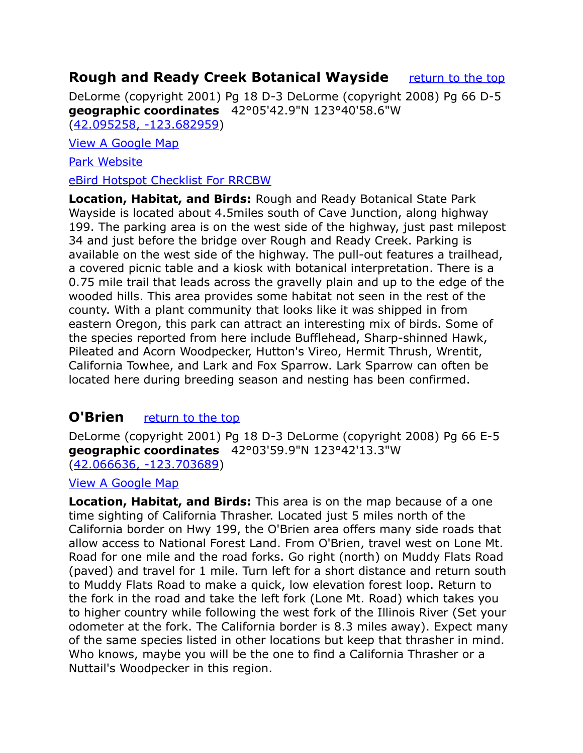# <span id="page-18-1"></span>**Rough and Ready Creek Botanical Wayside** [return to the top](#page-0-0)

DeLorme (copyright 2001) Pg 18 D-3 DeLorme (copyright 2008) Pg 66 D-5 **geographic coordinates** 42°05'42.9"N 123°40'58.6"W [\(42.095258, -123.682959\)](https://www.google.com/maps/place/42%C2%B005)

[View A Google Map](http://maps.google.com/maps/ms?ie=UTF8&hl=en&msa=0&msid=108036481085398338899.0004736bed88af5fda4f1&ll=42.148133,-123.642883&spn=0.668935,1.399384&z=10)

[Park Website](http://www.highway199.org/siskiyou-mountains-cave-junction-oregon/oregon-state-parks/rough-ready-forest/rough-and-ready-forest-state-park.htm)

[eBird Hotspot Checklist For RRCBW](http://ebird.org/ebird/hotspot/L2191579?yr=all&m=&rank=mrec)

**Location, Habitat, and Birds:** Rough and Ready Botanical State Park Wayside is located about 4.5miles south of Cave Junction, along highway 199. The parking area is on the west side of the highway, just past milepost 34 and just before the bridge over Rough and Ready Creek. Parking is available on the west side of the highway. The pull-out features a trailhead, a covered picnic table and a kiosk with botanical interpretation. There is a 0.75 mile trail that leads across the gravelly plain and up to the edge of the wooded hills. This area provides some habitat not seen in the rest of the county. With a plant community that looks like it was shipped in from eastern Oregon, this park can attract an interesting mix of birds. Some of the species reported from here include Bufflehead, Sharp-shinned Hawk, Pileated and Acorn Woodpecker, Hutton's Vireo, Hermit Thrush, Wrentit, California Towhee, and Lark and Fox Sparrow. Lark Sparrow can often be located here during breeding season and nesting has been confirmed.

# <span id="page-18-0"></span>**O'Brien** *return* to the top

DeLorme (copyright 2001) Pg 18 D-3 DeLorme (copyright 2008) Pg 66 E-5 **geographic coordinates** 42°03'59.9"N 123°42'13.3"W [\(42.066636, -123.703689\)](https://www.google.com/maps/place/42%C2%B003)

[View A Google Map](http://maps.google.com/maps/ms?ie=UTF8&hl=en&msa=0&msid=108036481085398338899.0004736bed88af5fda4f1&ll=42.148133,-123.642883&spn=0.668935,1.399384&z=10)

**Location, Habitat, and Birds:** This area is on the map because of a one time sighting of California Thrasher. Located just 5 miles north of the California border on Hwy 199, the O'Brien area offers many side roads that allow access to National Forest Land. From O'Brien, travel west on Lone Mt. Road for one mile and the road forks. Go right (north) on Muddy Flats Road (paved) and travel for 1 mile. Turn left for a short distance and return south to Muddy Flats Road to make a quick, low elevation forest loop. Return to the fork in the road and take the left fork (Lone Mt. Road) which takes you to higher country while following the west fork of the Illinois River (Set your odometer at the fork. The California border is 8.3 miles away). Expect many of the same species listed in other locations but keep that thrasher in mind. Who knows, maybe you will be the one to find a California Thrasher or a Nuttail's Woodpecker in this region.